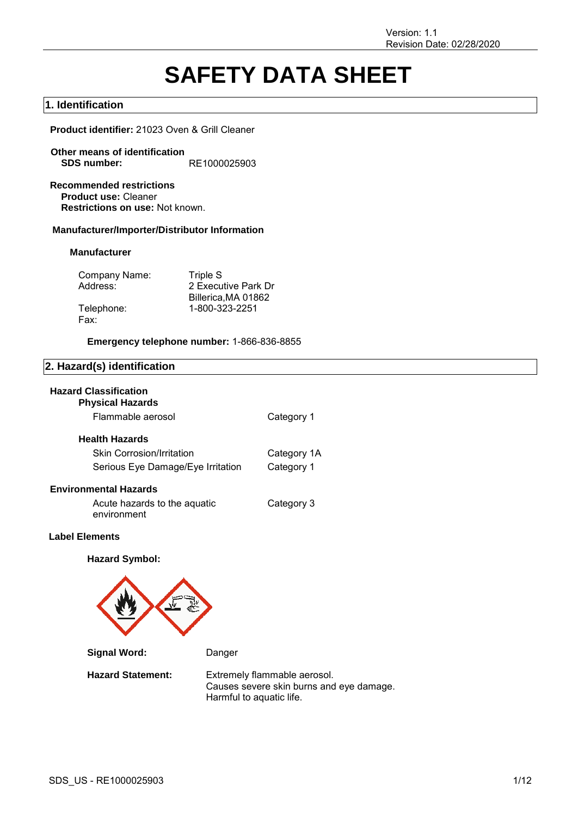# **SAFETY DATA SHEET**

## **1. Identification**

**Product identifier:** 21023 Oven & Grill Cleaner

- **Other means of identification SDS number:** RE1000025903
- **Recommended restrictions Product use:** Cleaner **Restrictions on use:** Not known.

## **Manufacturer/Importer/Distributor Information**

## **Manufacturer**

| Company Name: | Triple S            |
|---------------|---------------------|
| Address:      | 2 Executive Park Dr |
|               | Billerica, MA 01862 |
| Telephone:    | 1-800-323-2251      |
| Fax:          |                     |

**Emergency telephone number:** 1-866-836-8855

## **2. Hazard(s) identification**

## **Hazard Classification**

| <b>Physical Hazards</b>           |             |
|-----------------------------------|-------------|
| Flammable aerosol                 | Category 1  |
| <b>Health Hazards</b>             |             |
| <b>Skin Corrosion/Irritation</b>  | Category 1A |
| Serious Eye Damage/Eye Irritation | Category 1  |
| <b>Environmental Hazards</b>      |             |

Acute hazards to the aquatic environment Category 3

## **Label Elements**

**Hazard Symbol:**



**Signal Word:** Danger

**Hazard Statement:** Extremely flammable aerosol. Causes severe skin burns and eye damage. Harmful to aquatic life.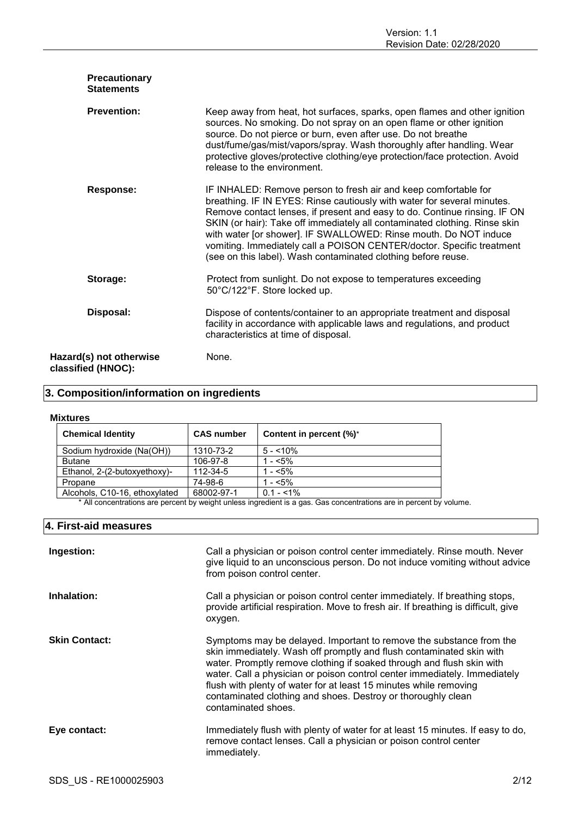| Precautionary<br><b>Statements</b>            |                                                                                                                                                                                                                                                                                                                                                                                                                                                                                                                     |
|-----------------------------------------------|---------------------------------------------------------------------------------------------------------------------------------------------------------------------------------------------------------------------------------------------------------------------------------------------------------------------------------------------------------------------------------------------------------------------------------------------------------------------------------------------------------------------|
| <b>Prevention:</b>                            | Keep away from heat, hot surfaces, sparks, open flames and other ignition<br>sources. No smoking. Do not spray on an open flame or other ignition<br>source. Do not pierce or burn, even after use. Do not breathe<br>dust/fume/gas/mist/vapors/spray. Wash thoroughly after handling. Wear<br>protective gloves/protective clothing/eye protection/face protection. Avoid<br>release to the environment.                                                                                                           |
| <b>Response:</b>                              | IF INHALED: Remove person to fresh air and keep comfortable for<br>breathing. IF IN EYES: Rinse cautiously with water for several minutes.<br>Remove contact lenses, if present and easy to do. Continue rinsing. IF ON<br>SKIN (or hair): Take off immediately all contaminated clothing. Rinse skin<br>with water [or shower]. IF SWALLOWED: Rinse mouth. Do NOT induce<br>vomiting. Immediately call a POISON CENTER/doctor. Specific treatment<br>(see on this label). Wash contaminated clothing before reuse. |
| Storage:                                      | Protect from sunlight. Do not expose to temperatures exceeding<br>50°C/122°F. Store locked up.                                                                                                                                                                                                                                                                                                                                                                                                                      |
| Disposal:                                     | Dispose of contents/container to an appropriate treatment and disposal<br>facility in accordance with applicable laws and regulations, and product<br>characteristics at time of disposal.                                                                                                                                                                                                                                                                                                                          |
| Hazard(s) not otherwise<br>classified (HNOC): | None.                                                                                                                                                                                                                                                                                                                                                                                                                                                                                                               |

## **3. Composition/information on ingredients**

## **Mixtures**

| <b>Chemical Identity</b>      | <b>CAS number</b> | Content in percent (%)* |
|-------------------------------|-------------------|-------------------------|
| Sodium hydroxide (Na(OH))     | 1310-73-2         | $5 - 10\%$              |
| <b>Butane</b>                 | 106-97-8          | 1 - $< 5\%$             |
| Ethanol, 2-(2-butoxyethoxy)-  | 112-34-5          | $1 - 5\%$               |
| Propane                       | 74-98-6           | 1 - $< 5\%$             |
| Alcohols, C10-16, ethoxylated | 68002-97-1        | $0.1 - 1\%$             |

\* All concentrations are percent by weight unless ingredient is a gas. Gas concentrations are in percent by volume.

## **4. First-aid measures**

| Ingestion:           | Call a physician or poison control center immediately. Rinse mouth. Never<br>give liquid to an unconscious person. Do not induce vomiting without advice<br>from poison control center.                                                                                                                                                                                                                                                                       |
|----------------------|---------------------------------------------------------------------------------------------------------------------------------------------------------------------------------------------------------------------------------------------------------------------------------------------------------------------------------------------------------------------------------------------------------------------------------------------------------------|
| Inhalation:          | Call a physician or poison control center immediately. If breathing stops,<br>provide artificial respiration. Move to fresh air. If breathing is difficult, give<br>oxygen.                                                                                                                                                                                                                                                                                   |
| <b>Skin Contact:</b> | Symptoms may be delayed. Important to remove the substance from the<br>skin immediately. Wash off promptly and flush contaminated skin with<br>water. Promptly remove clothing if soaked through and flush skin with<br>water. Call a physician or poison control center immediately. Immediately<br>flush with plenty of water for at least 15 minutes while removing<br>contaminated clothing and shoes. Destroy or thoroughly clean<br>contaminated shoes. |
| Eye contact:         | Immediately flush with plenty of water for at least 15 minutes. If easy to do,<br>remove contact lenses. Call a physician or poison control center<br>immediately.                                                                                                                                                                                                                                                                                            |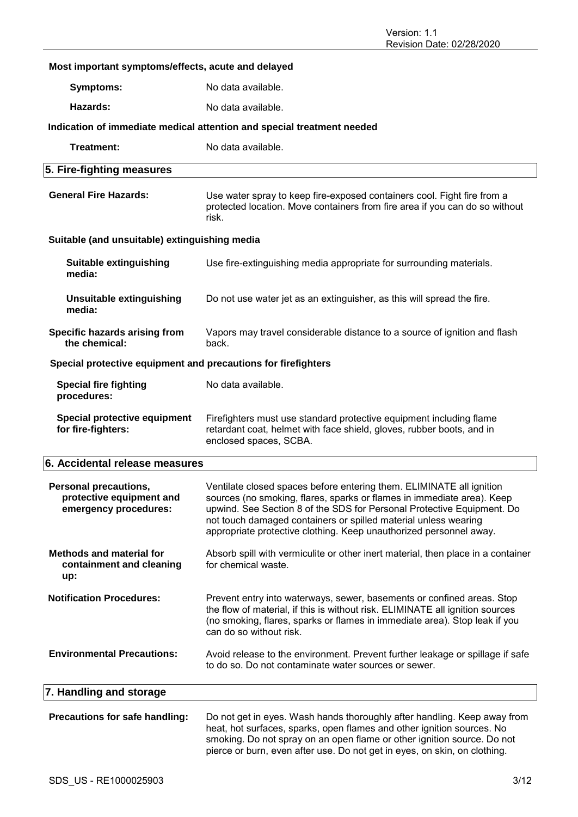## **Most important symptoms/effects, acute and delayed Symptoms:** No data available. **Hazards:** No data available. **Indication of immediate medical attention and special treatment needed Treatment:** No data available. **5. Fire-fighting measures General Fire Hazards:** Use water spray to keep fire-exposed containers cool. Fight fire from a protected location. Move containers from fire area if you can do so without risk. **Suitable (and unsuitable) extinguishing media Suitable extinguishing media:** Use fire-extinguishing media appropriate for surrounding materials. **Unsuitable extinguishing media:** Do not use water jet as an extinguisher, as this will spread the fire. **Specific hazards arising from the chemical:** Vapors may travel considerable distance to a source of ignition and flash back. **Special protective equipment and precautions for firefighters Special fire fighting procedures:** No data available. **Special protective equipment for fire-fighters:** Firefighters must use standard protective equipment including flame retardant coat, helmet with face shield, gloves, rubber boots, and in enclosed spaces, SCBA. **6. Accidental release measures Personal precautions, protective equipment and emergency procedures:** Ventilate closed spaces before entering them. ELIMINATE all ignition sources (no smoking, flares, sparks or flames in immediate area). Keep upwind. See Section 8 of the SDS for Personal Protective Equipment. Do not touch damaged containers or spilled material unless wearing appropriate protective clothing. Keep unauthorized personnel away. **Methods and material for containment and cleaning up:** Absorb spill with vermiculite or other inert material, then place in a container for chemical waste. **Notification Procedures:** Prevent entry into waterways, sewer, basements or confined areas. Stop the flow of material, if this is without risk. ELIMINATE all ignition sources (no smoking, flares, sparks or flames in immediate area). Stop leak if you can do so without risk. **Environmental Precautions:** Avoid release to the environment. Prevent further leakage or spillage if safe to do so. Do not contaminate water sources or sewer. **7. Handling and storage**

**Precautions for safe handling:** Do not get in eyes. Wash hands thoroughly after handling. Keep away from heat, hot surfaces, sparks, open flames and other ignition sources. No smoking. Do not spray on an open flame or other ignition source. Do not pierce or burn, even after use. Do not get in eyes, on skin, on clothing.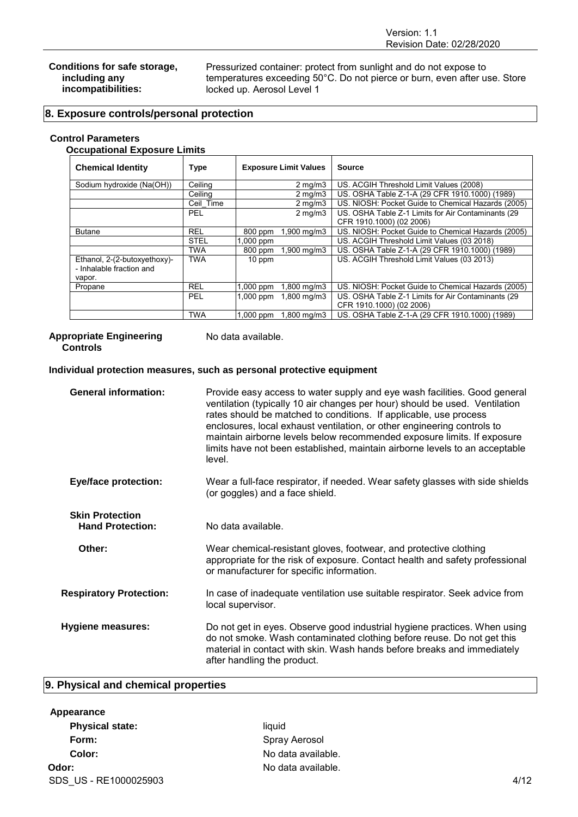#### **Conditions for safe storage, including any incompatibilities:**

Pressurized container: protect from sunlight and do not expose to temperatures exceeding 50°C. Do not pierce or burn, even after use. Store locked up. Aerosol Level 1

## **8. Exposure controls/personal protection**

## **Control Parameters**

## **Occupational Exposure Limits**

| <b>Chemical Identity</b>                                           | <b>Type</b> | <b>Exposure Limit Values</b>            | <b>Source</b>                                                                  |
|--------------------------------------------------------------------|-------------|-----------------------------------------|--------------------------------------------------------------------------------|
| Sodium hydroxide (Na(OH))                                          | Ceilina     | $2 \,\mathrm{mq/m}$ 3                   | US. ACGIH Threshold Limit Values (2008)                                        |
|                                                                    | Ceiling     | $2 \,\mathrm{mq/m}$ 3                   | US. OSHA Table Z-1-A (29 CFR 1910.1000) (1989)                                 |
|                                                                    | Ceil Time   | $2 \text{ mg/m}$                        | US. NIOSH: Pocket Guide to Chemical Hazards (2005)                             |
|                                                                    | <b>PEL</b>  | $2 \,\mathrm{mq/m}$ 3                   | US. OSHA Table Z-1 Limits for Air Contaminants (29                             |
|                                                                    |             |                                         | CFR 1910.1000) (02 2006)                                                       |
| <b>Butane</b>                                                      | <b>REL</b>  | $1,900 \,\mathrm{mq/m3}$<br>800 ppm     | US. NIOSH: Pocket Guide to Chemical Hazards (2005)                             |
|                                                                    | <b>STEL</b> | $1,000$ ppm                             | US. ACGIH Threshold Limit Values (03 2018)                                     |
|                                                                    | <b>TWA</b>  | $1,900 \,\mathrm{mq/m3}$<br>800 ppm     | US. OSHA Table Z-1-A (29 CFR 1910.1000) (1989)                                 |
| Ethanol, 2-(2-butoxyethoxy)-<br>- Inhalable fraction and<br>vapor. | <b>TWA</b>  | 10 ppm                                  | US. ACGIH Threshold Limit Values (03 2013)                                     |
| Propane                                                            | <b>REL</b>  | $1,800 \,\mathrm{mq/m3}$<br>$1,000$ ppm | US. NIOSH: Pocket Guide to Chemical Hazards (2005)                             |
|                                                                    | PEL         | $1,000$ ppm<br>1,800 mg/m3              | US. OSHA Table Z-1 Limits for Air Contaminants (29<br>CFR 1910.1000) (02 2006) |
|                                                                    | <b>TWA</b>  | $1,800 \,\mathrm{mq/m3}$<br>$1.000$ ppm | US, OSHA Table Z-1-A (29 CFR 1910, 1000) (1989)                                |

## **Appropriate Engineering**

No data available.

### **Controls**

## **Individual protection measures, such as personal protective equipment**

| <b>General information:</b>                       | Provide easy access to water supply and eye wash facilities. Good general<br>ventilation (typically 10 air changes per hour) should be used. Ventilation<br>rates should be matched to conditions. If applicable, use process<br>enclosures, local exhaust ventilation, or other engineering controls to<br>maintain airborne levels below recommended exposure limits. If exposure<br>limits have not been established, maintain airborne levels to an acceptable<br>level. |
|---------------------------------------------------|------------------------------------------------------------------------------------------------------------------------------------------------------------------------------------------------------------------------------------------------------------------------------------------------------------------------------------------------------------------------------------------------------------------------------------------------------------------------------|
| <b>Eye/face protection:</b>                       | Wear a full-face respirator, if needed. Wear safety glasses with side shields<br>(or goggles) and a face shield.                                                                                                                                                                                                                                                                                                                                                             |
| <b>Skin Protection</b><br><b>Hand Protection:</b> | No data available.                                                                                                                                                                                                                                                                                                                                                                                                                                                           |
| Other:                                            | Wear chemical-resistant gloves, footwear, and protective clothing<br>appropriate for the risk of exposure. Contact health and safety professional<br>or manufacturer for specific information.                                                                                                                                                                                                                                                                               |
| <b>Respiratory Protection:</b>                    | In case of inadequate ventilation use suitable respirator. Seek advice from<br>local supervisor.                                                                                                                                                                                                                                                                                                                                                                             |
| <b>Hygiene measures:</b>                          | Do not get in eyes. Observe good industrial hygiene practices. When using<br>do not smoke. Wash contaminated clothing before reuse. Do not get this<br>material in contact with skin. Wash hands before breaks and immediately<br>after handling the product.                                                                                                                                                                                                                |

## **9. Physical and chemical properties**

## **Appearance**

| <b>Physical state:</b> | liauid             |      |
|------------------------|--------------------|------|
| Form:                  | Spray Aerosol      |      |
| Color:                 | No data available. |      |
| Odor:                  | No data available. |      |
| SDS US - RE1000025903  |                    | 4/12 |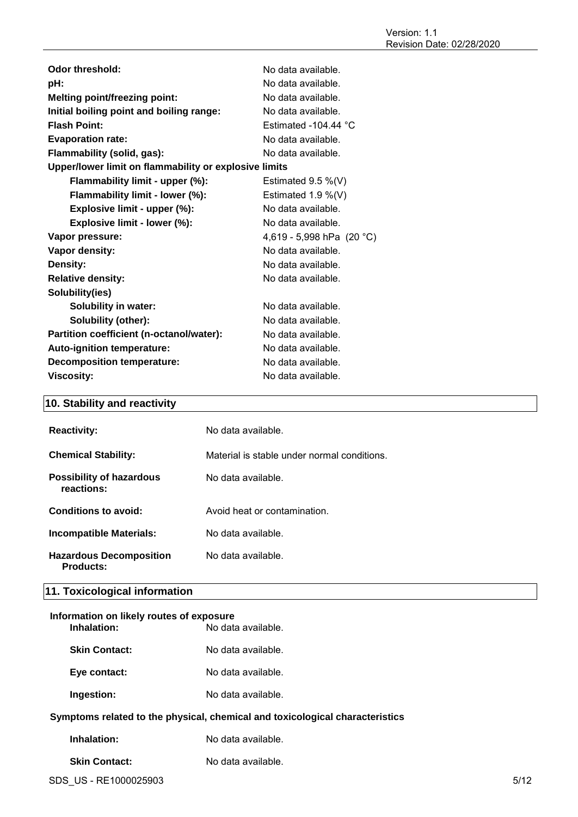| Odor threshold:                                       | No data available.             |
|-------------------------------------------------------|--------------------------------|
| pH:                                                   | No data available.             |
| <b>Melting point/freezing point:</b>                  | No data available.             |
| Initial boiling point and boiling range:              | No data available.             |
| <b>Flash Point:</b>                                   | Estimated -104.44 $^{\circ}$ C |
| <b>Evaporation rate:</b>                              | No data available.             |
| Flammability (solid, gas):                            | No data available.             |
| Upper/lower limit on flammability or explosive limits |                                |
| Flammability limit - upper (%):                       | Estimated $9.5\%$ (V)          |
| Flammability limit - lower (%):                       | Estimated $1.9\%$ (V)          |
| Explosive limit - upper (%):                          | No data available.             |
| Explosive limit - lower (%):                          | No data available.             |
| Vapor pressure:                                       | 4,619 - 5,998 hPa $(20 °C)$    |
| Vapor density:                                        | No data available.             |
| Density:                                              | No data available.             |
| <b>Relative density:</b>                              | No data available.             |
| Solubility(ies)                                       |                                |
| Solubility in water:                                  | No data available.             |
| Solubility (other):                                   | No data available.             |
| Partition coefficient (n-octanol/water):              | No data available.             |
| <b>Auto-ignition temperature:</b>                     | No data available.             |
| <b>Decomposition temperature:</b>                     | No data available.             |
| <b>Viscosity:</b>                                     | No data available.             |

## **10. Stability and reactivity**

| <b>Reactivity:</b>                                 | No data available.                          |
|----------------------------------------------------|---------------------------------------------|
| <b>Chemical Stability:</b>                         | Material is stable under normal conditions. |
| <b>Possibility of hazardous</b><br>reactions:      | No data available.                          |
| Conditions to avoid:                               | Avoid heat or contamination.                |
| <b>Incompatible Materials:</b>                     | No data available.                          |
| <b>Hazardous Decomposition</b><br><b>Products:</b> | No data available.                          |

## **11. Toxicological information**

## **Information on likely routes of exposure Indalation**: No data available.

| <b>Skin Contact:</b> | No data available. |
|----------------------|--------------------|
| Eye contact:         | No data available. |

**Ingestion:** No data available.

## **Symptoms related to the physical, chemical and toxicological characteristics**

**Skin Contact:** No data available.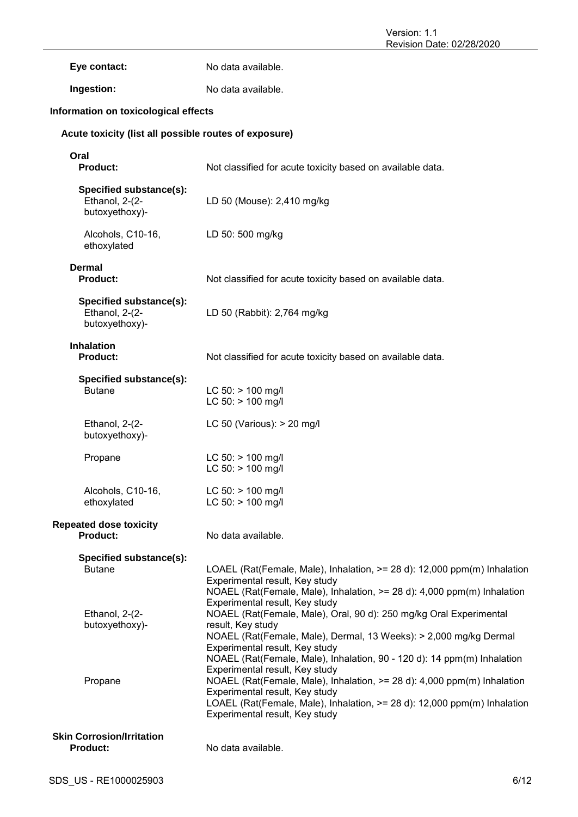Eye contact: No data available.

**Ingestion:** No data available.

## **Information on toxicological effects**

## **Acute toxicity (list all possible routes of exposure)**

| Oral<br><b>Product:</b>                                     | Not classified for acute toxicity based on available data.                                                                                                                                                                                                                                                  |
|-------------------------------------------------------------|-------------------------------------------------------------------------------------------------------------------------------------------------------------------------------------------------------------------------------------------------------------------------------------------------------------|
| Specified substance(s):<br>Ethanol, 2-(2-<br>butoxyethoxy)- | LD 50 (Mouse): 2,410 mg/kg                                                                                                                                                                                                                                                                                  |
| Alcohols, C10-16,<br>ethoxylated                            | LD 50: 500 mg/kg                                                                                                                                                                                                                                                                                            |
| <b>Dermal</b><br><b>Product:</b>                            | Not classified for acute toxicity based on available data.                                                                                                                                                                                                                                                  |
| Specified substance(s):<br>Ethanol, 2-(2-<br>butoxyethoxy)- | LD 50 (Rabbit): 2,764 mg/kg                                                                                                                                                                                                                                                                                 |
| <b>Inhalation</b><br><b>Product:</b>                        | Not classified for acute toxicity based on available data.                                                                                                                                                                                                                                                  |
| Specified substance(s):<br><b>Butane</b>                    | $LC 50:$ > 100 mg/l<br>$LC 50:$ > 100 mg/l                                                                                                                                                                                                                                                                  |
| Ethanol, 2-(2-<br>butoxyethoxy)-                            | LC 50 (Various): $>$ 20 mg/l                                                                                                                                                                                                                                                                                |
| Propane                                                     | $LC$ 50: $> 100$ mg/l<br>$LC 50:$ > 100 mg/l                                                                                                                                                                                                                                                                |
| Alcohols, C10-16,<br>ethoxylated                            | LC 50: > 100 mg/l<br>$LC 50:$ > 100 mg/l                                                                                                                                                                                                                                                                    |
| <b>Repeated dose toxicity</b><br><b>Product:</b>            | No data available.                                                                                                                                                                                                                                                                                          |
| Specified substance(s):<br><b>Butane</b>                    | LOAEL (Rat(Female, Male), Inhalation, >= 28 d): 12,000 ppm(m) Inhalation<br>Experimental result, Key study<br>NOAEL (Rat(Female, Male), Inhalation, >= 28 d): 4,000 ppm(m) Inhalation                                                                                                                       |
| Ethanol, 2-(2-<br>butoxyethoxy)-                            | Experimental result, Key study<br>NOAEL (Rat(Female, Male), Oral, 90 d): 250 mg/kg Oral Experimental<br>result, Key study<br>NOAEL (Rat(Female, Male), Dermal, 13 Weeks): > 2,000 mg/kg Dermal<br>Experimental result, Key study<br>NOAEL (Rat(Female, Male), Inhalation, 90 - 120 d): 14 ppm(m) Inhalation |
| Propane                                                     | Experimental result, Key study<br>NOAEL (Rat(Female, Male), Inhalation, >= 28 d): 4,000 ppm(m) Inhalation<br>Experimental result, Key study<br>LOAEL (Rat(Female, Male), Inhalation, >= 28 d): 12,000 ppm(m) Inhalation<br>Experimental result, Key study                                                   |
| <b>Skin Corrosion/Irritation</b><br><b>Product:</b>         | No data available.                                                                                                                                                                                                                                                                                          |
|                                                             |                                                                                                                                                                                                                                                                                                             |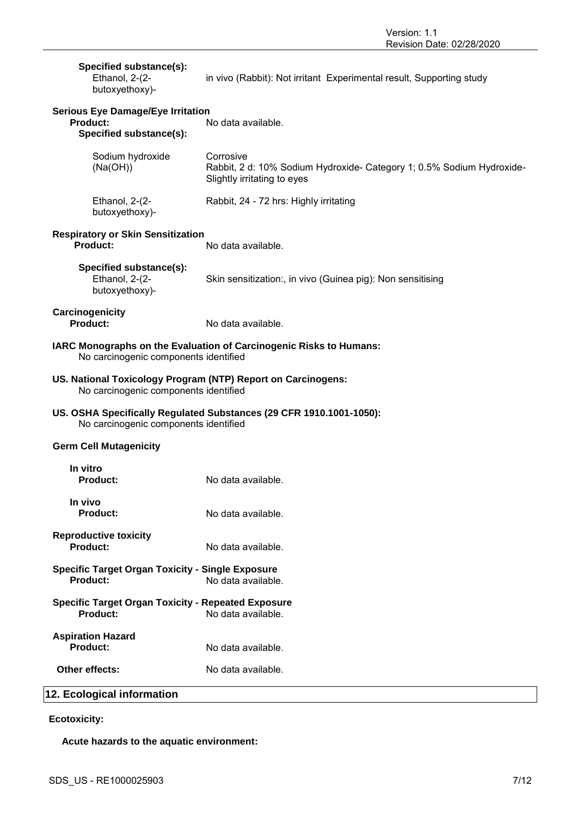| Specified substance(s):<br>Ethanol, 2-(2-<br>butoxyethoxy)-                                                  | in vivo (Rabbit): Not irritant Experimental result, Supporting study                                              |  |
|--------------------------------------------------------------------------------------------------------------|-------------------------------------------------------------------------------------------------------------------|--|
| <b>Serious Eye Damage/Eye Irritation</b><br><b>Product:</b><br>Specified substance(s):                       | No data available.                                                                                                |  |
| Sodium hydroxide<br>(Na(OH))                                                                                 | Corrosive<br>Rabbit, 2 d: 10% Sodium Hydroxide- Category 1; 0.5% Sodium Hydroxide-<br>Slightly irritating to eyes |  |
| Ethanol, 2-(2-<br>butoxyethoxy)-                                                                             | Rabbit, 24 - 72 hrs: Highly irritating                                                                            |  |
| <b>Respiratory or Skin Sensitization</b><br><b>Product:</b>                                                  | No data available.                                                                                                |  |
| Specified substance(s):<br>Ethanol, 2-(2-<br>butoxyethoxy)-                                                  | Skin sensitization:, in vivo (Guinea pig): Non sensitising                                                        |  |
| Carcinogenicity<br><b>Product:</b>                                                                           | No data available.                                                                                                |  |
| No carcinogenic components identified                                                                        | IARC Monographs on the Evaluation of Carcinogenic Risks to Humans:                                                |  |
| US. National Toxicology Program (NTP) Report on Carcinogens:<br>No carcinogenic components identified        |                                                                                                                   |  |
| US. OSHA Specifically Regulated Substances (29 CFR 1910.1001-1050):<br>No carcinogenic components identified |                                                                                                                   |  |
| <b>Germ Cell Mutagenicity</b>                                                                                |                                                                                                                   |  |
| In vitro<br><b>Product:</b>                                                                                  | No data available.                                                                                                |  |
| In vivo<br><b>Product:</b>                                                                                   | No data available.                                                                                                |  |
| <b>Reproductive toxicity</b><br>Product:                                                                     | No data available.                                                                                                |  |
| <b>Specific Target Organ Toxicity - Single Exposure</b><br><b>Product:</b>                                   | No data available.                                                                                                |  |
| <b>Specific Target Organ Toxicity - Repeated Exposure</b><br>Product:<br>No data available.                  |                                                                                                                   |  |
| <b>Aspiration Hazard</b><br><b>Product:</b>                                                                  | No data available.                                                                                                |  |
| Other effects:                                                                                               | No data available.                                                                                                |  |
| 12. Ecological information                                                                                   |                                                                                                                   |  |

## **Ecotoxicity:**

**Acute hazards to the aquatic environment:**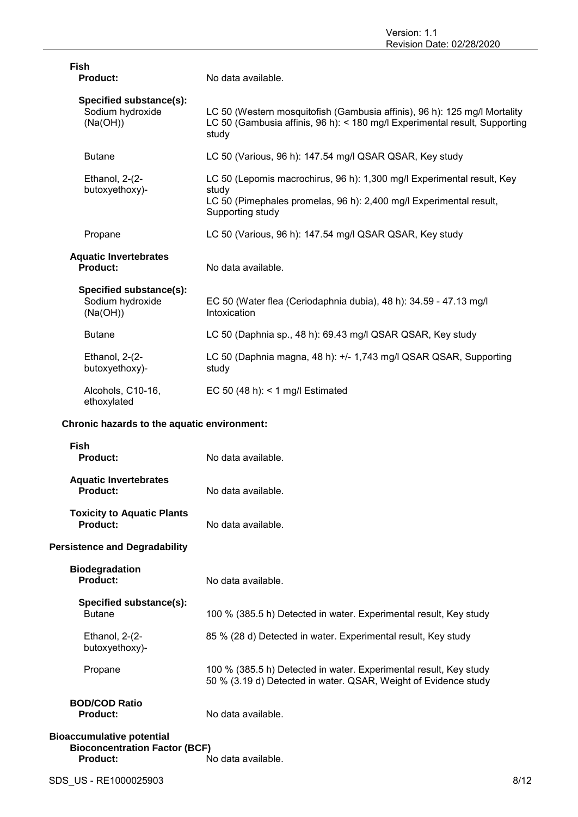| <b>Fish</b><br><b>Product:</b>                          | No data available.                                                                                                                                                        |
|---------------------------------------------------------|---------------------------------------------------------------------------------------------------------------------------------------------------------------------------|
| Specified substance(s):<br>Sodium hydroxide<br>(Na(OH)) | LC 50 (Western mosquitofish (Gambusia affinis), 96 h): 125 mg/l Mortality<br>LC 50 (Gambusia affinis, 96 h): < 180 mg/l Experimental result, Supporting<br>study          |
| <b>Butane</b>                                           | LC 50 (Various, 96 h): 147.54 mg/l QSAR QSAR, Key study                                                                                                                   |
| Ethanol, 2-(2-<br>butoxyethoxy)-                        | LC 50 (Lepomis macrochirus, 96 h): 1,300 mg/l Experimental result, Key<br>study<br>LC 50 (Pimephales promelas, 96 h): 2,400 mg/l Experimental result,<br>Supporting study |
| Propane                                                 | LC 50 (Various, 96 h): 147.54 mg/l QSAR QSAR, Key study                                                                                                                   |
| <b>Aquatic Invertebrates</b><br>Product:                | No data available.                                                                                                                                                        |
| Specified substance(s):<br>Sodium hydroxide<br>(Na(OH)) | EC 50 (Water flea (Ceriodaphnia dubia), 48 h): 34.59 - 47.13 mg/l<br>Intoxication                                                                                         |
| <b>Butane</b>                                           | LC 50 (Daphnia sp., 48 h): 69.43 mg/l QSAR QSAR, Key study                                                                                                                |
| Ethanol, 2-(2-<br>butoxyethoxy)-                        | LC 50 (Daphnia magna, 48 h): +/- 1,743 mg/l QSAR QSAR, Supporting<br>study                                                                                                |
| Alcohols, C10-16,<br>ethoxylated                        | EC 50 (48 h): < 1 mg/l Estimated                                                                                                                                          |
| Chronic hazards to the aquatic environment:             |                                                                                                                                                                           |
| <b>Fish</b><br>Product:                                 | No data available.                                                                                                                                                        |
| <b>Aquatic Invertebrates</b><br>Product:                | No data available.                                                                                                                                                        |
| <b>Toxicity to Aquatic Plants</b><br><b>Product:</b>    | No data available.                                                                                                                                                        |
| <b>Persistence and Degradability</b>                    |                                                                                                                                                                           |
| <b>Biodegradation</b><br><b>Product:</b>                | No data available.                                                                                                                                                        |
| Specified substance(s):<br><b>Butane</b>                | 100 % (385.5 h) Detected in water. Experimental result, Key study                                                                                                         |
| Ethanol, 2-(2-<br>butoxyethoxy)-                        | 85 % (28 d) Detected in water. Experimental result, Key study                                                                                                             |
| Propane                                                 | 100 % (385.5 h) Detected in water. Experimental result, Key study                                                                                                         |

50 % (3.19 d) Detected in water. QSAR, Weight of Evidence study

**Product:** No data available.

**Product:** No data available.

**BOD/COD Ratio**

**Bioaccumulative potential**

| SDS US - RE1000025903 | 8/12 |
|-----------------------|------|
|                       |      |

**Bioconcentration Factor (BCF)**<br>Product: N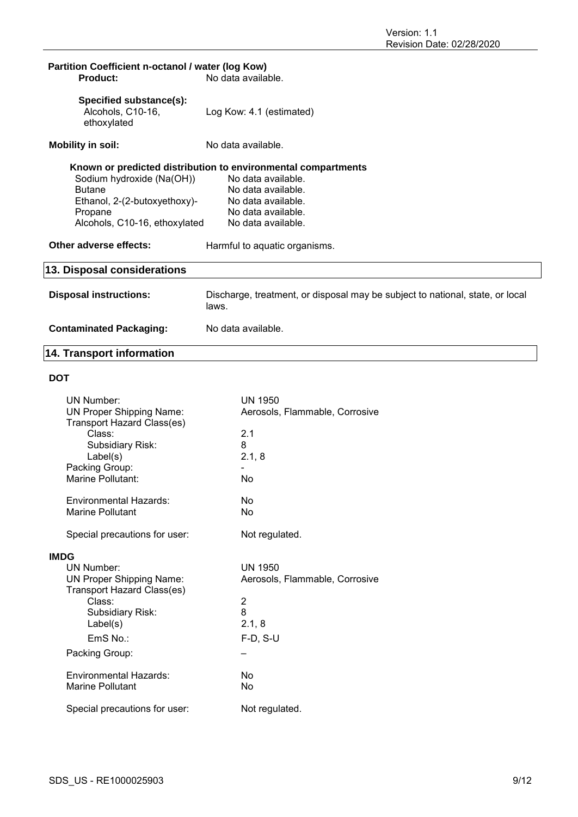| Partition Coefficient n-octanol / water (log Kow)<br><b>Product:</b> | No data available.                                                                     |  |
|----------------------------------------------------------------------|----------------------------------------------------------------------------------------|--|
| Specified substance(s):<br>Alcohols, C10-16,<br>ethoxylated          | Log Kow: 4.1 (estimated)                                                               |  |
| <b>Mobility in soil:</b>                                             | No data available.                                                                     |  |
| Known or predicted distribution to environmental compartments        |                                                                                        |  |
| Sodium hydroxide (Na(OH))                                            | No data available.                                                                     |  |
| <b>Butane</b>                                                        | No data available.                                                                     |  |
| Ethanol, 2-(2-butoxyethoxy)-                                         | No data available.                                                                     |  |
| Propane                                                              | No data available.                                                                     |  |
| Alcohols, C10-16, ethoxylated                                        | No data available.                                                                     |  |
| Other adverse effects:                                               | Harmful to aquatic organisms.                                                          |  |
| 13. Disposal considerations                                          |                                                                                        |  |
| <b>Disposal instructions:</b>                                        | Discharge, treatment, or disposal may be subject to national, state, or local<br>laws. |  |
| <b>Contaminated Packaging:</b>                                       | No data available.                                                                     |  |

## **14. Transport information**

## **DOT**

|             | UN Number:<br><b>UN Proper Shipping Name:</b><br>Transport Hazard Class(es)<br>Class:<br>Subsidiary Risk:<br>Label(s)<br>Packing Group:<br>Marine Pollutant:                                               | <b>UN 1950</b><br>Aerosols, Flammable, Corrosive<br>2.1<br>8<br>2.1, 8<br>No                                |
|-------------|------------------------------------------------------------------------------------------------------------------------------------------------------------------------------------------------------------|-------------------------------------------------------------------------------------------------------------|
|             | <b>Environmental Hazards:</b><br><b>Marine Pollutant</b>                                                                                                                                                   | No<br>No                                                                                                    |
|             | Special precautions for user:                                                                                                                                                                              | Not regulated.                                                                                              |
| <b>IMDG</b> | UN Number:<br><b>UN Proper Shipping Name:</b><br>Transport Hazard Class(es)<br>Class:<br><b>Subsidiary Risk:</b><br>Label(s)<br>$EmS$ No.:<br>Packing Group:<br>Fnvironmental Hazards:<br>Marine Pollutant | <b>UN 1950</b><br>Aerosols, Flammable, Corrosive<br>$\overline{c}$<br>8<br>2.1, 8<br>$F-D, S-U$<br>No<br>No |
|             | Special precautions for user:                                                                                                                                                                              | Not regulated.                                                                                              |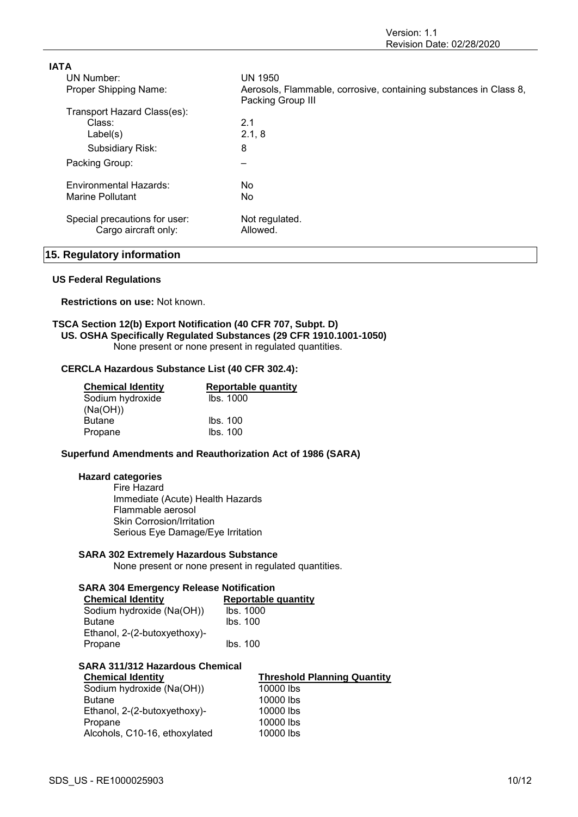| <b>IATA</b>                   |                                                                                        |
|-------------------------------|----------------------------------------------------------------------------------------|
| UN Number:                    | <b>UN 1950</b>                                                                         |
| Proper Shipping Name:         | Aerosols, Flammable, corrosive, containing substances in Class 8,<br>Packing Group III |
| Transport Hazard Class(es):   |                                                                                        |
| Class:                        | 2.1                                                                                    |
| Label(s)                      | 2.1, 8                                                                                 |
| Subsidiary Risk:              | 8                                                                                      |
| Packing Group:                | -                                                                                      |
| Environmental Hazards:        | No.                                                                                    |
| Marine Pollutant              | No.                                                                                    |
| Special precautions for user: | Not regulated.                                                                         |
| Cargo aircraft only:          | Allowed.                                                                               |

## **15. Regulatory information**

#### **US Federal Regulations**

**Restrictions on use:** Not known.

### **TSCA Section 12(b) Export Notification (40 CFR 707, Subpt. D) US. OSHA Specifically Regulated Substances (29 CFR 1910.1001-1050)** None present or none present in regulated quantities.

## **CERCLA Hazardous Substance List (40 CFR 302.4):**

| <b>Chemical Identity</b> | Reportable quantity |
|--------------------------|---------------------|
| Sodium hydroxide         | Ibs. 1000           |
| (Na(OH))                 |                     |
| <b>Butane</b>            | Ibs. 100            |
| Propane                  | Ibs. 100            |

## **Superfund Amendments and Reauthorization Act of 1986 (SARA)**

### **Hazard categories**

Fire Hazard Immediate (Acute) Health Hazards Flammable aerosol Skin Corrosion/Irritation Serious Eye Damage/Eye Irritation

#### **SARA 302 Extremely Hazardous Substance**

None present or none present in regulated quantities.

## **SARA 304 Emergency Release Notification**

| <b>Chemical Identity</b>     | <b>Reportable quantity</b> |
|------------------------------|----------------------------|
| Sodium hydroxide (Na(OH))    | lbs. 1000                  |
| <b>Butane</b>                | Ibs. 100                   |
| Ethanol, 2-(2-butoxyethoxy)- |                            |
| Propane                      | Ibs. 100                   |

## **SARA 311/312 Hazardous Chemical**

| <b>Chemical Identity</b>      | <b>Threshold Planning Quantity</b> |
|-------------------------------|------------------------------------|
| Sodium hydroxide (Na(OH))     | 10000 lbs                          |
| <b>Butane</b>                 | 10000 lbs                          |
| Ethanol, 2-(2-butoxyethoxy)-  | 10000 lbs                          |
| Propane                       | 10000 lbs                          |
| Alcohols, C10-16, ethoxylated | 10000 lbs                          |
|                               |                                    |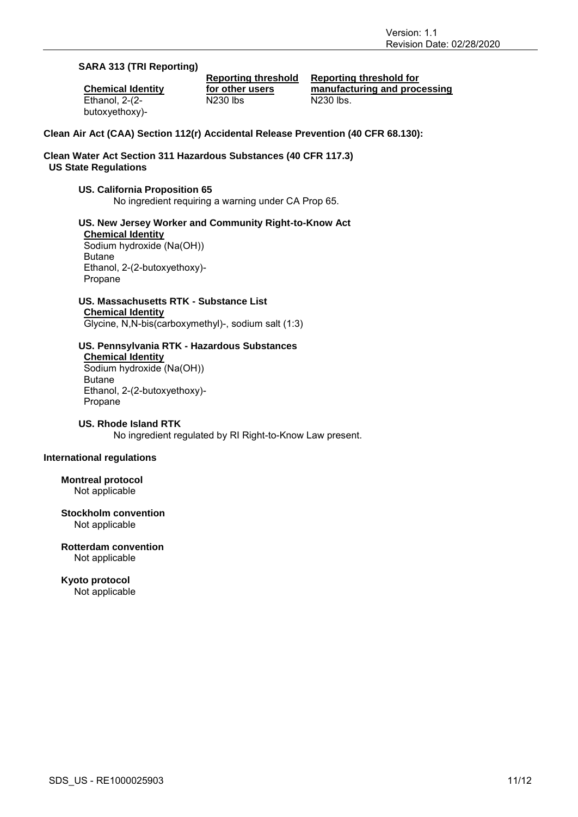## **SARA 313 (TRI Reporting)**

**Chemical Identity** Ethanol, 2-(2 butoxyethoxy)-

**Reporting threshold for other users** N230 lbs N230 lbs.

**Reporting threshold for manufacturing and processing**

## **Clean Air Act (CAA) Section 112(r) Accidental Release Prevention (40 CFR 68.130):**

## **Clean Water Act Section 311 Hazardous Substances (40 CFR 117.3) US State Regulations**

## **US. California Proposition 65**

No ingredient requiring a warning under CA Prop 65.

## **US. New Jersey Worker and Community Right-to-Know Act Chemical Identity**

Sodium hydroxide (Na(OH)) Butane Ethanol, 2-(2-butoxyethoxy)- Propane

## **US. Massachusetts RTK - Substance List Chemical Identity**

Glycine, N,N-bis(carboxymethyl)-, sodium salt (1:3)

## **US. Pennsylvania RTK - Hazardous Substances**

**Chemical Identity** Sodium hydroxide (Na(OH)) Butane Ethanol, 2-(2-butoxyethoxy)- Propane

## **US. Rhode Island RTK**

No ingredient regulated by RI Right-to-Know Law present.

## **International regulations**

**Montreal protocol** Not applicable

### **Stockholm convention** Not applicable

**Rotterdam convention** Not applicable

**Kyoto protocol** Not applicable